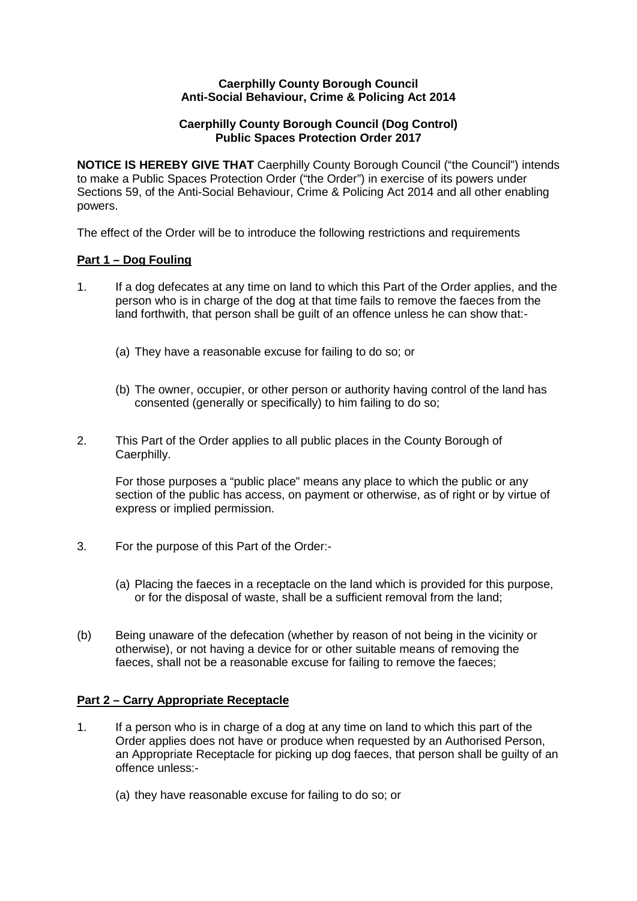## **Caerphilly County Borough Council Anti-Social Behaviour, Crime & Policing Act 2014**

# **Caerphilly County Borough Council (Dog Control) Public Spaces Protection Order 2017**

**NOTICE IS HEREBY GIVE THAT** Caerphilly County Borough Council ("the Council") intends to make a Public Spaces Protection Order ("the Order") in exercise of its powers under Sections 59, of the Anti-Social Behaviour, Crime & Policing Act 2014 and all other enabling powers.

The effect of the Order will be to introduce the following restrictions and requirements

# **Part 1 – Dog Fouling**

- 1. If a dog defecates at any time on land to which this Part of the Order applies, and the person who is in charge of the dog at that time fails to remove the faeces from the land forthwith, that person shall be guilt of an offence unless he can show that:-
	- (a) They have a reasonable excuse for failing to do so; or
	- (b) The owner, occupier, or other person or authority having control of the land has consented (generally or specifically) to him failing to do so;
- 2. This Part of the Order applies to all public places in the County Borough of Caerphilly.

For those purposes a "public place" means any place to which the public or any section of the public has access, on payment or otherwise, as of right or by virtue of express or implied permission.

- 3. For the purpose of this Part of the Order:-
	- (a) Placing the faeces in a receptacle on the land which is provided for this purpose, or for the disposal of waste, shall be a sufficient removal from the land;
- (b) Being unaware of the defecation (whether by reason of not being in the vicinity or otherwise), or not having a device for or other suitable means of removing the faeces, shall not be a reasonable excuse for failing to remove the faeces;

# **Part 2 – Carry Appropriate Receptacle**

- 1. If a person who is in charge of a dog at any time on land to which this part of the Order applies does not have or produce when requested by an Authorised Person, an Appropriate Receptacle for picking up dog faeces, that person shall be guilty of an offence unless:-
	- (a) they have reasonable excuse for failing to do so; or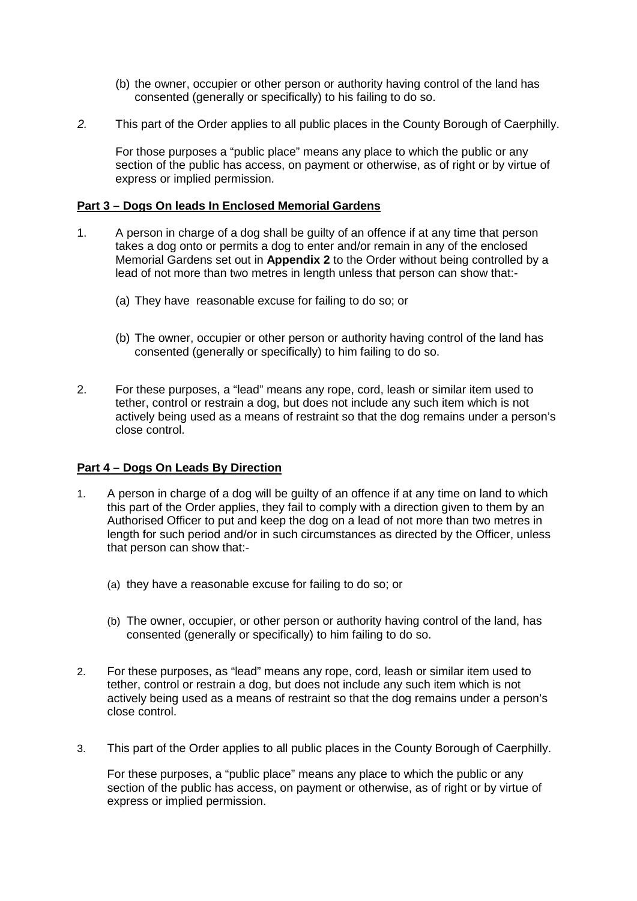- (b) the owner, occupier or other person or authority having control of the land has consented (generally or specifically) to his failing to do so.
- *2.* This part of the Order applies to all public places in the County Borough of Caerphilly.

For those purposes a "public place" means any place to which the public or any section of the public has access, on payment or otherwise, as of right or by virtue of express or implied permission.

## **Part 3 – Dogs On leads In Enclosed Memorial Gardens**

- 1. A person in charge of a dog shall be guilty of an offence if at any time that person takes a dog onto or permits a dog to enter and/or remain in any of the enclosed Memorial Gardens set out in **Appendix 2** to the Order without being controlled by a lead of not more than two metres in length unless that person can show that:-
	- (a) They have reasonable excuse for failing to do so; or
	- (b) The owner, occupier or other person or authority having control of the land has consented (generally or specifically) to him failing to do so.
- 2. For these purposes, a "lead" means any rope, cord, leash or similar item used to tether, control or restrain a dog, but does not include any such item which is not actively being used as a means of restraint so that the dog remains under a person's close control.

# **Part 4 – Dogs On Leads By Direction**

- 1. A person in charge of a dog will be guilty of an offence if at any time on land to which this part of the Order applies, they fail to comply with a direction given to them by an Authorised Officer to put and keep the dog on a lead of not more than two metres in length for such period and/or in such circumstances as directed by the Officer, unless that person can show that:-
	- (a) they have a reasonable excuse for failing to do so; or
	- (b) The owner, occupier, or other person or authority having control of the land, has consented (generally or specifically) to him failing to do so.
- 2. For these purposes, as "lead" means any rope, cord, leash or similar item used to tether, control or restrain a dog, but does not include any such item which is not actively being used as a means of restraint so that the dog remains under a person's close control.
- 3. This part of the Order applies to all public places in the County Borough of Caerphilly.

For these purposes, a "public place" means any place to which the public or any section of the public has access, on payment or otherwise, as of right or by virtue of express or implied permission.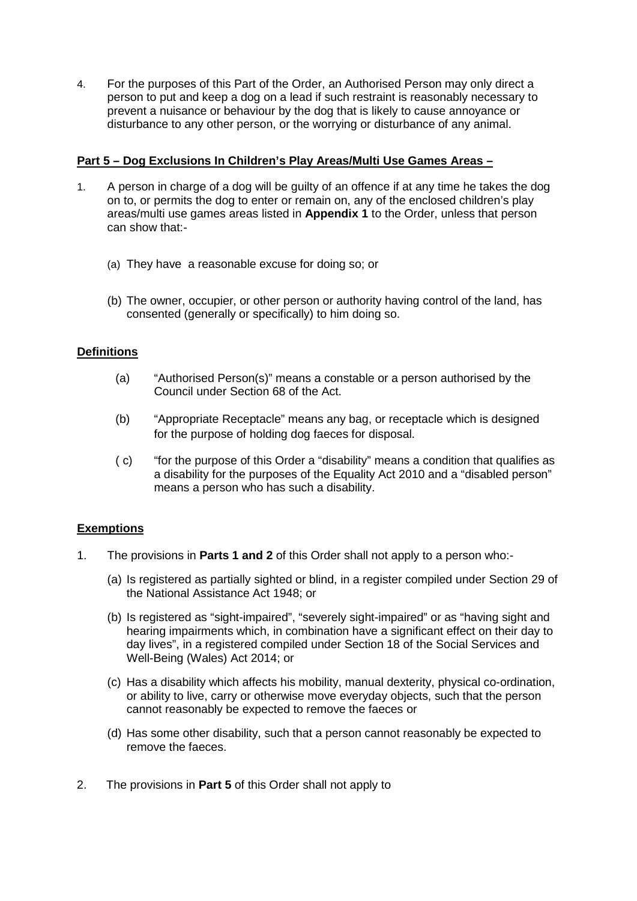4. For the purposes of this Part of the Order, an Authorised Person may only direct a person to put and keep a dog on a lead if such restraint is reasonably necessary to prevent a nuisance or behaviour by the dog that is likely to cause annoyance or disturbance to any other person, or the worrying or disturbance of any animal.

# **Part 5 – Dog Exclusions In Children's Play Areas/Multi Use Games Areas –**

- 1. A person in charge of a dog will be guilty of an offence if at any time he takes the dog on to, or permits the dog to enter or remain on, any of the enclosed children's play areas/multi use games areas listed in **Appendix 1** to the Order, unless that person can show that:-
	- (a) They have a reasonable excuse for doing so; or
	- (b) The owner, occupier, or other person or authority having control of the land, has consented (generally or specifically) to him doing so.

# **Definitions**

- (a) "Authorised Person(s)" means a constable or a person authorised by the Council under Section 68 of the Act.
- (b) "Appropriate Receptacle" means any bag, or receptacle which is designed for the purpose of holding dog faeces for disposal.
- ( c) "for the purpose of this Order a "disability" means a condition that qualifies as a disability for the purposes of the Equality Act 2010 and a "disabled person" means a person who has such a disability.

# **Exemptions**

- 1. The provisions in **Parts 1 and 2** of this Order shall not apply to a person who:-
	- (a) Is registered as partially sighted or blind, in a register compiled under Section 29 of the National Assistance Act 1948; or
	- (b) Is registered as "sight-impaired", "severely sight-impaired" or as "having sight and hearing impairments which, in combination have a significant effect on their day to day lives", in a registered compiled under Section 18 of the Social Services and Well-Being (Wales) Act 2014; or
	- (c) Has a disability which affects his mobility, manual dexterity, physical co-ordination, or ability to live, carry or otherwise move everyday objects, such that the person cannot reasonably be expected to remove the faeces or
	- (d) Has some other disability, such that a person cannot reasonably be expected to remove the faeces.
- 2. The provisions in **Part 5** of this Order shall not apply to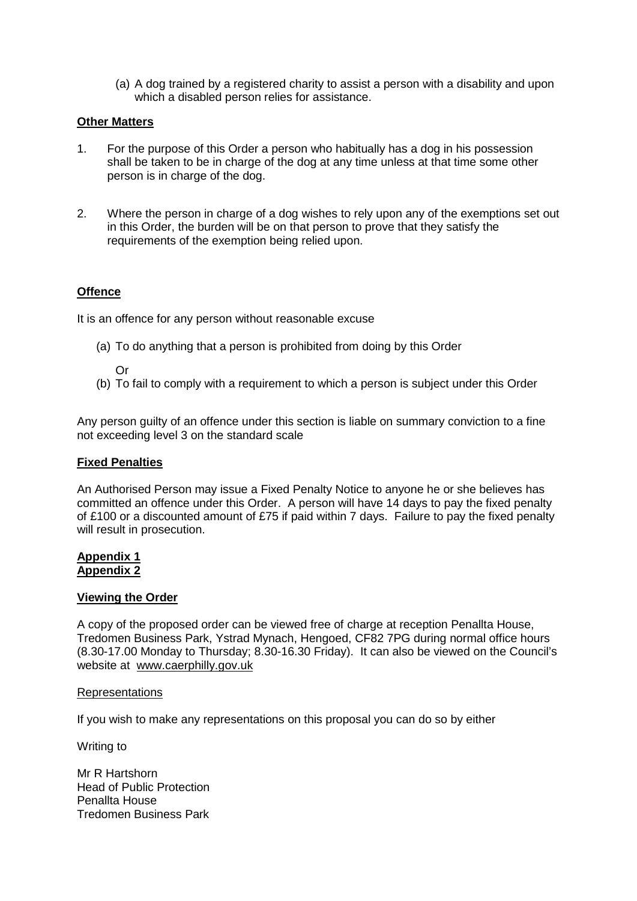(a) A dog trained by a registered charity to assist a person with a disability and upon which a disabled person relies for assistance.

## **Other Matters**

- 1. For the purpose of this Order a person who habitually has a dog in his possession shall be taken to be in charge of the dog at any time unless at that time some other person is in charge of the dog.
- 2. Where the person in charge of a dog wishes to rely upon any of the exemptions set out in this Order, the burden will be on that person to prove that they satisfy the requirements of the exemption being relied upon.

## **Offence**

It is an offence for any person without reasonable excuse

(a) To do anything that a person is prohibited from doing by this Order

Or

(b) To fail to comply with a requirement to which a person is subject under this Order

Any person guilty of an offence under this section is liable on summary conviction to a fine not exceeding level 3 on the standard scale

### **Fixed Penalties**

An Authorised Person may issue a Fixed Penalty Notice to anyone he or she believes has committed an offence under this Order. A person will have 14 days to pay the fixed penalty of £100 or a discounted amount of £75 if paid within 7 days. Failure to pay the fixed penalty will result in prosecution.

### **Appendix 1 Appendix 2**

### **Viewing the Order**

A copy of the proposed order can be viewed free of charge at reception Penallta House, Tredomen Business Park, Ystrad Mynach, Hengoed, CF82 7PG during normal office hours (8.30-17.00 Monday to Thursday; 8.30-16.30 Friday). It can also be viewed on the Council's website at [www.caerphilly.gov.uk](http://www.caerphilly.gov.uk/)

### Representations

If you wish to make any representations on this proposal you can do so by either

Writing to

Mr R Hartshorn Head of Public Protection Penallta House Tredomen Business Park